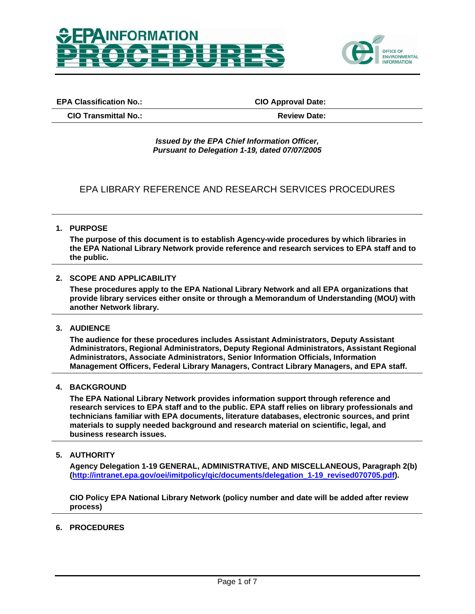



**EPA Classification No.: CIO Approval Date:**

**CIO Transmittal No.: Review Date:**

#### *Issued by the EPA Chief Information Officer, Pursuant to Delegation 1-19, dated 07/07/2005*

# EPA LIBRARY REFERENCE AND RESEARCH SERVICES PROCEDURES

**1. PURPOSE** 

**The purpose of this document is to establish Agency-wide procedures by which libraries in the EPA National Library Network provide reference and research services to EPA staff and to the public.** 

## **2. SCOPE AND APPLICABILITY**

**These procedures apply to the EPA National Library Network and all EPA organizations that provide library services either onsite or through a Memorandum of Understanding (MOU) with another Network library.** 

**3. AUDIENCE** 

**The audience for these procedures includes Assistant Administrators, Deputy Assistant Administrators, Regional Administrators, Deputy Regional Administrators, Assistant Regional Administrators, Associate Administrators, Senior Information Officials, Information Management Officers, Federal Library Managers, Contract Library Managers, and EPA staff.** 

**4. BACKGROUND** 

**The EPA National Library Network provides information support through reference and research services to EPA staff and to the public. EPA staff relies on library professionals and technicians familiar with EPA documents, literature databases, electronic sources, and print materials to supply needed background and research material on scientific, legal, and business research issues.** 

**5. AUTHORITY** 

**Agency Delegation 1-19 GENERAL, ADMINISTRATIVE, AND MISCELLANEOUS, Paragraph 2(b) [\(http://intranet.epa.gov/oei/imitpolicy/qic/documents/delegation\\_1-19\\_revised070705.pdf\)](http://intranet.epa.gov/oei/imitpolicy/qic/documents/delegation_1-19_revised070705.pdf).** 

**CIO Policy EPA National Library Network (policy number and date will be added after review process)** 

#### **6. PROCEDURES**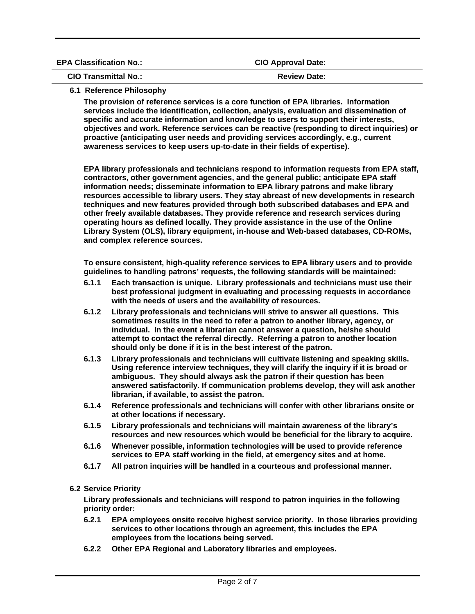| <b>EPA Classification No.:</b> | <b>CIO Approval Date:</b> |  |
|--------------------------------|---------------------------|--|
| <b>CIO Transmittal No.:</b>    | <b>Review Date:</b>       |  |

# **6.1 Reference Philosophy**

**The provision of reference services is a core function of EPA libraries. Information services include the identification, collection, analysis, evaluation and dissemination of specific and accurate information and knowledge to users to support their interests, objectives and work. Reference services can be reactive (responding to direct inquiries) or proactive (anticipating user needs and providing services accordingly, e.g., current awareness services to keep users up-to-date in their fields of expertise).** 

**EPA library professionals and technicians respond to information requests from EPA staff, contractors, other government agencies, and the general public; anticipate EPA staff information needs; disseminate information to EPA library patrons and make library resources accessible to library users. They stay abreast of new developments in research techniques and new features provided through both subscribed databases and EPA and other freely available databases. They provide reference and research services during operating hours as defined locally. They provide assistance in the use of the Online Library System (OLS), library equipment, in-house and Web-based databases, CD-ROMs, and complex reference sources.** 

**To ensure consistent, high-quality reference services to EPA library users and to provide guidelines to handling patrons' requests, the following standards will be maintained:** 

- **6.1.1 Each transaction is unique. Library professionals and technicians must use their best professional judgment in evaluating and processing requests in accordance with the needs of users and the availability of resources.**
- **6.1.2 Library professionals and technicians will strive to answer all questions. This sometimes results in the need to refer a patron to another library, agency, or individual. In the event a librarian cannot answer a question, he/she should attempt to contact the referral directly. Referring a patron to another location should only be done if it is in the best interest of the patron.**
- **6.1.3 Library professionals and technicians will cultivate listening and speaking skills. Using reference interview techniques, they will clarify the inquiry if it is broad or ambiguous. They should always ask the patron if their question has been answered satisfactorily. If communication problems develop, they will ask another librarian, if available, to assist the patron.**
- **6.1.4 Reference professionals and technicians will confer with other librarians onsite or at other locations if necessary.**
- **6.1.5 Library professionals and technicians will maintain awareness of the library's resources and new resources which would be beneficial for the library to acquire.**
- **6.1.6 Whenever possible, information technologies will be used to provide reference services to EPA staff working in the field, at emergency sites and at home.**
- **6.1.7 All patron inquiries will be handled in a courteous and professional manner.**

# **6.2 Service Priority**

**Library professionals and technicians will respond to patron inquiries in the following priority order:** 

- **6.2.1 EPA employees onsite receive highest service priority. In those libraries providing services to other locations through an agreement, this includes the EPA employees from the locations being served.**
- **6.2.2 Other EPA Regional and Laboratory libraries and employees.**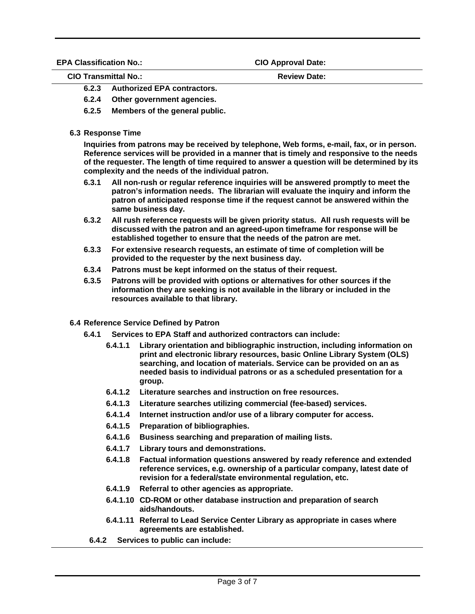**EPA Classification No.: CIO Approval Date:** 

**CIO Transmittal No.: Review Date:** 

- **6.2.3 Authorized EPA contractors.**
- **6.2.4 Other government agencies.**
- **6.2.5 Members of the general public.**
- **6.3 Response Time**

**Inquiries from patrons may be received by telephone, Web forms, e-mail, fax, or in person. Reference services will be provided in a manner that is timely and responsive to the needs of the requester. The length of time required to answer a question will be determined by its complexity and the needs of the individual patron.** 

- **6.3.1 All non-rush or regular reference inquiries will be answered promptly to meet the patron's information needs. The librarian will evaluate the inquiry and inform the patron of anticipated response time if the request cannot be answered within the same business day.**
- **6.3.2 All rush reference requests will be given priority status. All rush requests will be discussed with the patron and an agreed-upon timeframe for response will be established together to ensure that the needs of the patron are met.**
- **6.3.3 For extensive research requests, an estimate of time of completion will be provided to the requester by the next business day.**
- **6.3.4 Patrons must be kept informed on the status of their request.**
- **6.3.5 Patrons will be provided with options or alternatives for other sources if the information they are seeking is not available in the library or included in the resources available to that library.**
- **6.4 Reference Service Defined by Patron** 
	- **6.4.1 Services to EPA Staff and authorized contractors can include:** 
		- **6.4.1.1 Library orientation and bibliographic instruction, including information on print and electronic library resources, basic Online Library System (OLS) searching, and location of materials. Service can be provided on an as needed basis to individual patrons or as a scheduled presentation for a group.**
		- **6.4.1.2 Literature searches and instruction on free resources.**
		- **6.4.1.3 Literature searches utilizing commercial (fee-based) services.**
		- **6.4.1.4 Internet instruction and/or use of a library computer for access.**
		- **6.4.1.5 Preparation of bibliographies.**
		- **6.4.1.6 Business searching and preparation of mailing lists.**
		- **6.4.1.7 Library tours and demonstrations.**
		- **6.4.1.8 Factual information questions answered by ready reference and extended reference services, e.g. ownership of a particular company, latest date of revision for a federal/state environmental regulation, etc.**
		- **6.4.1.9 Referral to other agencies as appropriate.**
		- **6.4.1.10 CD-ROM or other database instruction and preparation of search aids/handouts.**
		- **6.4.1.11 Referral to Lead Service Center Library as appropriate in cases where agreements are established.**
		- **6.4.2 Services to public can include:**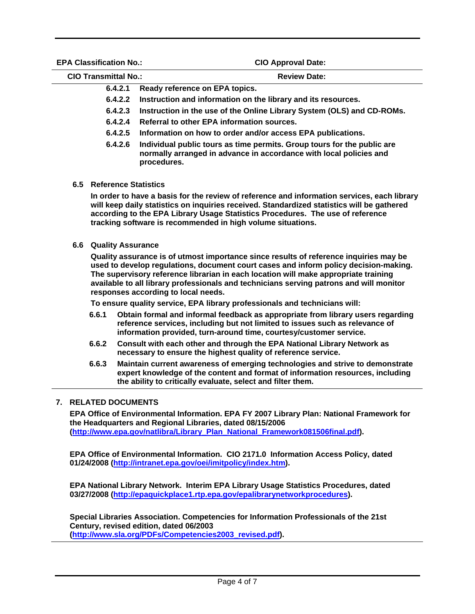**EPA Classification No.: CIO Approval Date:** 

| A UIQSSIIIUQUUII I IU       | <b>VIV APPIVYAI DAG.</b>                                               |  |
|-----------------------------|------------------------------------------------------------------------|--|
| <b>CIO Transmittal No.:</b> | <b>Review Date:</b>                                                    |  |
|                             | 6.4.2.1 Ready reference on EPA topics.                                 |  |
|                             | 6.4.2.2 Instruction and information on the library and its resources.  |  |
| 6.4.2.3                     | Instruction in the use of the Online Library System (OLS) and CD-ROMs. |  |

- **6.4.2.4 Referral to other EPA information sources.**
- **6.4.2.5 Information on how to order and/or access EPA publications.**
- **6.4.2.6 Individual public tours as time permits. Group tours for the public are normally arranged in advance in accordance with local policies and procedures.**
- **6.5 Reference Statistics**

**In order to have a basis for the review of reference and information services, each library will keep daily statistics on inquiries received. Standardized statistics will be gathered according to the EPA Library Usage Statistics Procedures. The use of reference tracking software is recommended in high volume situations.** 

**6.6 Quality Assurance** 

**Quality assurance is of utmost importance since results of reference inquiries may be used to develop regulations, document court cases and inform policy decision-making. The supervisory reference librarian in each location will make appropriate training available to all library professionals and technicians serving patrons and will monitor responses according to local needs.** 

**To ensure quality service, EPA library professionals and technicians will:** 

- **6.6.1 Obtain formal and informal feedback as appropriate from library users regarding reference services, including but not limited to issues such as relevance of information provided, turn-around time, courtesy/customer service.**
- **6.6.2 Consult with each other and through the EPA National Library Network as necessary to ensure the highest quality of reference service.**
- **6.6.3 Maintain current awareness of emerging technologies and strive to demonstrate expert knowledge of the content and format of information resources, including the ability to critically evaluate, select and filter them.**

# **7. RELATED DOCUMENTS**

**EPA Office of Environmental Information. EPA FY 2007 Library Plan: National Framework for the Headquarters and Regional Libraries, dated 08/15/2006 [\(http://www.epa.gov/natlibra/Library\\_Plan\\_National\\_Framework081506final.pdf](http://www.epa.gov/natlibra/Library_Plan_National_Framework081506final.pdf)).** 

**EPA Office of Environmental Information. CIO 2171.0 Information Access Policy, dated 01/24/2008 [\(http://intranet.epa.gov/oei/imitpolicy/index.htm\)](http://intranet.epa.gov/oei/imitpolicy/index.htm).** 

**EPA National Library Network. Interim EPA Library Usage Statistics Procedures, dated 03/27/2008 [\(http://epaquickplace1.rtp.epa.gov/epalibrarynetworkprocedures\)](http://epaquickplace1.rtp.epa.gov/epalibrarynetworkprocedures).** 

**Special Libraries Association. Competencies for Information Professionals of the 21st Century, revised edition, dated 06/2003 [\(http://www.sla.org/PDFs/Competencies2003\\_revised.pdf\)](http://www.sla.org/PDFs/Competencies2003_revised.pdf).**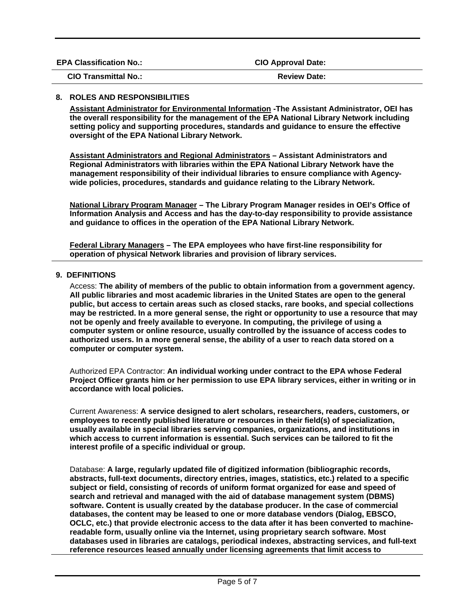| <b>EPA Classification No.:</b> | <b>CIO Approval Date:</b> |  |
|--------------------------------|---------------------------|--|
| <b>CIO Transmittal No.:</b>    | <b>Review Date:</b>       |  |

## **8. ROLES AND RESPONSIBILITIES**

**Assistant Administrator for Environmental Information -The Assistant Administrator, OEI has the overall responsibility for the management of the EPA National Library Network including setting policy and supporting procedures, standards and guidance to ensure the effective oversight of the EPA National Library Network.** 

**Assistant Administrators and Regional Administrators – Assistant Administrators and Regional Administrators with libraries within the EPA National Library Network have the management responsibility of their individual libraries to ensure compliance with Agencywide policies, procedures, standards and guidance relating to the Library Network.** 

**National Library Program Manager – The Library Program Manager resides in OEI's Office of Information Analysis and Access and has the day-to-day responsibility to provide assistance and guidance to offices in the operation of the EPA National Library Network.** 

**Federal Library Managers – The EPA employees who have first-line responsibility for operation of physical Network libraries and provision of library services.** 

## **9. DEFINITIONS**

Access: **The ability of members of the public to obtain information from a government agency. All public libraries and most academic libraries in the United States are open to the general public, but access to certain areas such as closed stacks, rare books, and special collections may be restricted. In a more general sense, the right or opportunity to use a resource that may not be openly and freely available to everyone. In computing, the privilege of using a computer system or online resource, usually controlled by the issuance of access codes to authorized users. In a more general sense, the ability of a user to reach data stored on a computer or computer system.** 

Authorized EPA Contractor: **An individual working under contract to the EPA whose Federal Project Officer grants him or her permission to use EPA library services, either in writing or in accordance with local policies.** 

Current Awareness: **A service designed to alert scholars, researchers, readers, customers, or employees to recently published literature or resources in their field(s) of specialization, usually available in special libraries serving companies, organizations, and institutions in which access to current information is essential. Such services can be tailored to fit the interest profile of a specific individual or group.** 

Database: **A large, regularly updated file of digitized information (bibliographic records, abstracts, full-text documents, directory entries, images, statistics, etc.) related to a specific subject or field, consisting of records of uniform format organized for ease and speed of search and retrieval and managed with the aid of database management system (DBMS) software. Content is usually created by the database producer. In the case of commercial databases, the content may be leased to one or more database vendors (Dialog, EBSCO, OCLC, etc.) that provide electronic access to the data after it has been converted to machinereadable form, usually online via the Internet, using proprietary search software. Most databases used in libraries are catalogs, periodical indexes, abstracting services, and full-text reference resources leased annually under licensing agreements that limit access to**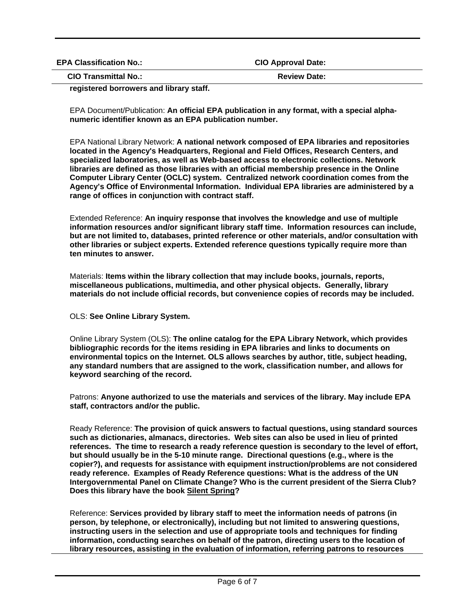| <b>EPA Classification No.:</b> | <b>CIO Approval Date:</b> |
|--------------------------------|---------------------------|
| <b>CIO Transmittal No.:</b>    | <b>Review Date:</b>       |

**registered borrowers and library staff.** 

EPA Document/Publication: **An official EPA publication in any format, with a special alphanumeric identifier known as an EPA publication number.** 

EPA National Library Network: **A national network composed of EPA libraries and repositories located in the Agency's Headquarters, Regional and Field Offices, Research Centers, and specialized laboratories, as well as Web-based access to electronic collections. Network libraries are defined as those libraries with an official membership presence in the Online Computer Library Center (OCLC) system. Centralized network coordination comes from the Agency's Office of Environmental Information. Individual EPA libraries are administered by a range of offices in conjunction with contract staff.** 

Extended Reference: **An inquiry response that involves the knowledge and use of multiple information resources and/or significant library staff time. Information resources can include, but are not limited to, databases, printed reference or other materials, and/or consultation with other libraries or subject experts. Extended reference questions typically require more than ten minutes to answer.** 

Materials: **Items within the library collection that may include books, journals, reports, miscellaneous publications, multimedia, and other physical objects. Generally, library materials do not include official records, but convenience copies of records may be included.** 

OLS: **See Online Library System.** 

Online Library System (OLS): **The online catalog for the EPA Library Network, which provides bibliographic records for the items residing in EPA libraries and links to documents on environmental topics on the Internet. OLS allows searches by author, title, subject heading, any standard numbers that are assigned to the work, classification number, and allows for keyword searching of the record.** 

Patrons: **Anyone authorized to use the materials and services of the library. May include EPA staff, contractors and/or the public.** 

Ready Reference: **The provision of quick answers to factual questions, using standard sources such as dictionaries, almanacs, directories. Web sites can also be used in lieu of printed references. The time to research a ready reference question is secondary to the level of effort, but should usually be in the 5-10 minute range. Directional questions (e.g., where is the copier?), and requests for assistance with equipment instruction/problems are not considered ready reference. Examples of Ready Reference questions: What is the address of the UN Intergovernmental Panel on Climate Change? Who is the current president of the Sierra Club? Does this library have the book Silent Spring?** 

Reference: **Services provided by library staff to meet the information needs of patrons (in person, by telephone, or electronically), including but not limited to answering questions, instructing users in the selection and use of appropriate tools and techniques for finding information, conducting searches on behalf of the patron, directing users to the location of library resources, assisting in the evaluation of information, referring patrons to resources**